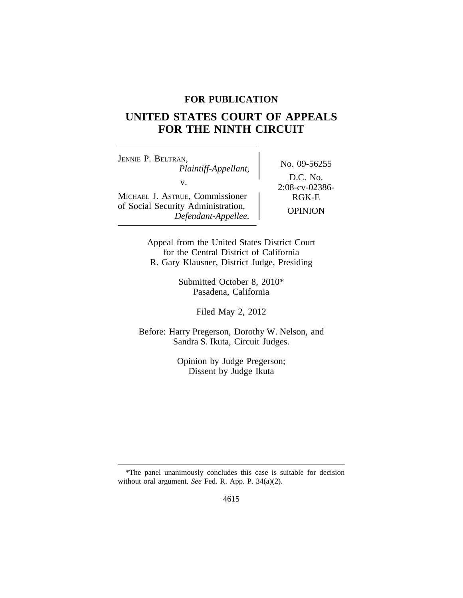# **FOR PUBLICATION**

# **UNITED STATES COURT OF APPEALS FOR THE NINTH CIRCUIT**

<sup>J</sup>ENNIE P. BELTRAN, No. 09-56255 *Plaintiff-Appellant,* v.<br>  $v_{\text{UE}}$ , Commissioner  $\left.\begin{matrix} 2.08\text{-}ev-02386\text{-} \\ 2.08\text{-}ev-02386\text{-} \\ \text{RGK-E} \end{matrix}\right\}$ MICHAEL J. ASTRUE, Commissioner of Social Security Administration,<br> *Defendant-Appellee.* OPINION

D.C. No.

Appeal from the United States District Court for the Central District of California R. Gary Klausner, District Judge, Presiding

> Submitted October 8, 2010\* Pasadena, California

> > Filed May 2, 2012

Before: Harry Pregerson, Dorothy W. Nelson, and Sandra S. Ikuta, Circuit Judges.

> Opinion by Judge Pregerson; Dissent by Judge Ikuta

<sup>\*</sup>The panel unanimously concludes this case is suitable for decision without oral argument. *See* Fed. R. App. P. 34(a)(2).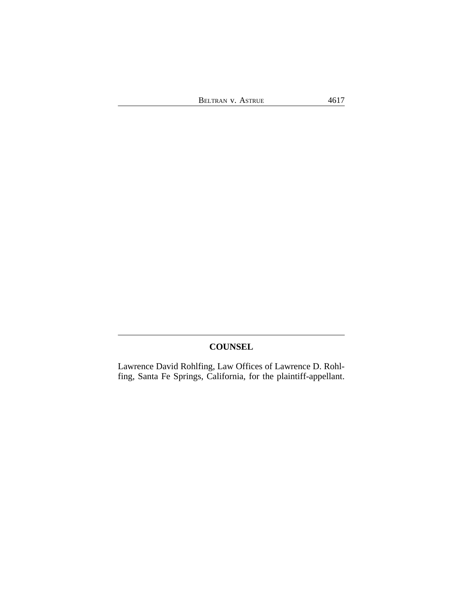BELTRAN V. ASTRUE 4617

# **COUNSEL**

Lawrence David Rohlfing, Law Offices of Lawrence D. Rohlfing, Santa Fe Springs, California, for the plaintiff-appellant.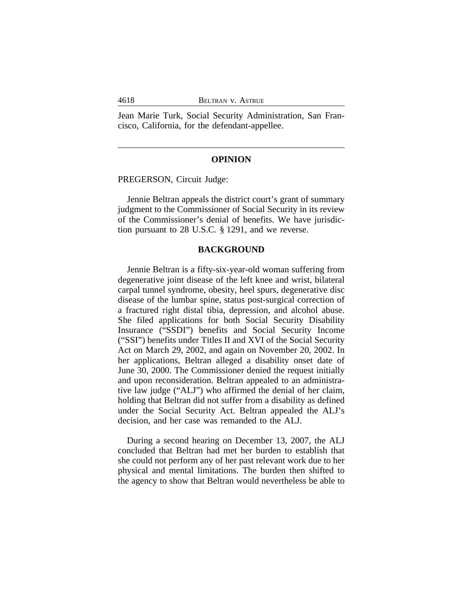Jean Marie Turk, Social Security Administration, San Francisco, California, for the defendant-appellee.

#### **OPINION**

PREGERSON, Circuit Judge:

Jennie Beltran appeals the district court's grant of summary judgment to the Commissioner of Social Security in its review of the Commissioner's denial of benefits. We have jurisdiction pursuant to 28 U.S.C. § 1291, and we reverse.

#### **BACKGROUND**

Jennie Beltran is a fifty-six-year-old woman suffering from degenerative joint disease of the left knee and wrist, bilateral carpal tunnel syndrome, obesity, heel spurs, degenerative disc disease of the lumbar spine, status post-surgical correction of a fractured right distal tibia, depression, and alcohol abuse. She filed applications for both Social Security Disability Insurance ("SSDI") benefits and Social Security Income ("SSI") benefits under Titles II and XVI of the Social Security Act on March 29, 2002, and again on November 20, 2002. In her applications, Beltran alleged a disability onset date of June 30, 2000. The Commissioner denied the request initially and upon reconsideration. Beltran appealed to an administrative law judge ("ALJ") who affirmed the denial of her claim, holding that Beltran did not suffer from a disability as defined under the Social Security Act. Beltran appealed the ALJ's decision, and her case was remanded to the ALJ.

During a second hearing on December 13, 2007, the ALJ concluded that Beltran had met her burden to establish that she could not perform any of her past relevant work due to her physical and mental limitations. The burden then shifted to the agency to show that Beltran would nevertheless be able to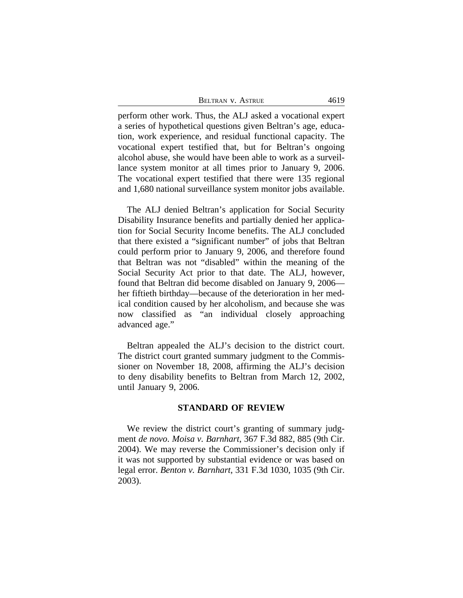| BELTRAN V. ASTRUE | 4619 |
|-------------------|------|
|-------------------|------|

perform other work. Thus, the ALJ asked a vocational expert a series of hypothetical questions given Beltran's age, education, work experience, and residual functional capacity. The vocational expert testified that, but for Beltran's ongoing alcohol abuse, she would have been able to work as a surveillance system monitor at all times prior to January 9, 2006. The vocational expert testified that there were 135 regional and 1,680 national surveillance system monitor jobs available.

The ALJ denied Beltran's application for Social Security Disability Insurance benefits and partially denied her application for Social Security Income benefits. The ALJ concluded that there existed a "significant number" of jobs that Beltran could perform prior to January 9, 2006, and therefore found that Beltran was not "disabled" within the meaning of the Social Security Act prior to that date. The ALJ, however, found that Beltran did become disabled on January 9, 2006 her fiftieth birthday—because of the deterioration in her medical condition caused by her alcoholism, and because she was now classified as "an individual closely approaching advanced age."

Beltran appealed the ALJ's decision to the district court. The district court granted summary judgment to the Commissioner on November 18, 2008, affirming the ALJ's decision to deny disability benefits to Beltran from March 12, 2002, until January 9, 2006.

# **STANDARD OF REVIEW**

We review the district court's granting of summary judgment *de novo*. *Moisa v. Barnhart*, 367 F.3d 882, 885 (9th Cir. 2004). We may reverse the Commissioner's decision only if it was not supported by substantial evidence or was based on legal error. *Benton v. Barnhart*, 331 F.3d 1030, 1035 (9th Cir. 2003).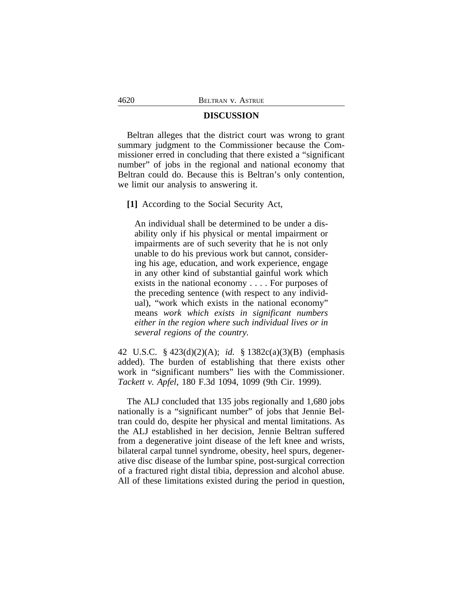# **DISCUSSION**

Beltran alleges that the district court was wrong to grant summary judgment to the Commissioner because the Commissioner erred in concluding that there existed a "significant number" of jobs in the regional and national economy that Beltran could do. Because this is Beltran's only contention, we limit our analysis to answering it.

**[1]** According to the Social Security Act,

An individual shall be determined to be under a disability only if his physical or mental impairment or impairments are of such severity that he is not only unable to do his previous work but cannot, considering his age, education, and work experience, engage in any other kind of substantial gainful work which exists in the national economy . . . . For purposes of the preceding sentence (with respect to any individual), "work which exists in the national economy" means *work which exists in significant numbers either in the region where such individual lives or in several regions of the country.*

42 U.S.C. § 423(d)(2)(A); *id.* § 1382c(a)(3)(B) (emphasis added). The burden of establishing that there exists other work in "significant numbers" lies with the Commissioner. *Tackett v. Apfel*, 180 F.3d 1094, 1099 (9th Cir. 1999).

The ALJ concluded that 135 jobs regionally and 1,680 jobs nationally is a "significant number" of jobs that Jennie Beltran could do, despite her physical and mental limitations. As the ALJ established in her decision, Jennie Beltran suffered from a degenerative joint disease of the left knee and wrists, bilateral carpal tunnel syndrome, obesity, heel spurs, degenerative disc disease of the lumbar spine, post-surgical correction of a fractured right distal tibia, depression and alcohol abuse. All of these limitations existed during the period in question,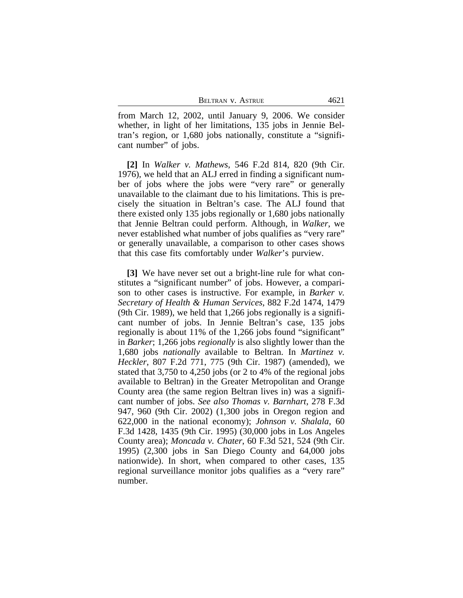from March 12, 2002, until January 9, 2006. We consider whether, in light of her limitations, 135 jobs in Jennie Beltran's region, or 1,680 jobs nationally, constitute a "significant number" of jobs.

**[2]** In *Walker v. Mathews*, 546 F.2d 814, 820 (9th Cir. 1976), we held that an ALJ erred in finding a significant number of jobs where the jobs were "very rare" or generally unavailable to the claimant due to his limitations. This is precisely the situation in Beltran's case. The ALJ found that there existed only 135 jobs regionally or 1,680 jobs nationally that Jennie Beltran could perform. Although, in *Walker*, we never established what number of jobs qualifies as "very rare" or generally unavailable, a comparison to other cases shows that this case fits comfortably under *Walker*'s purview.

**[3]** We have never set out a bright-line rule for what constitutes a "significant number" of jobs. However, a comparison to other cases is instructive. For example, in *Barker v. Secretary of Health & Human Services*, 882 F.2d 1474, 1479 (9th Cir. 1989), we held that 1,266 jobs regionally is a significant number of jobs. In Jennie Beltran's case, 135 jobs regionally is about 11% of the 1,266 jobs found "significant" in *Barker*; 1,266 jobs *regionally* is also slightly lower than the 1,680 jobs *nationally* available to Beltran. In *Martinez v. Heckler*, 807 F.2d 771, 775 (9th Cir. 1987) (amended), we stated that 3,750 to 4,250 jobs (or 2 to 4% of the regional jobs available to Beltran) in the Greater Metropolitan and Orange County area (the same region Beltran lives in) was a significant number of jobs. *See also Thomas v. Barnhart*, 278 F.3d 947, 960 (9th Cir. 2002) (1,300 jobs in Oregon region and 622,000 in the national economy); *Johnson v. Shalala*, 60 F.3d 1428, 1435 (9th Cir. 1995) (30,000 jobs in Los Angeles County area); *Moncada v. Chater*, 60 F.3d 521, 524 (9th Cir. 1995) (2,300 jobs in San Diego County and 64,000 jobs nationwide). In short, when compared to other cases, 135 regional surveillance monitor jobs qualifies as a "very rare" number.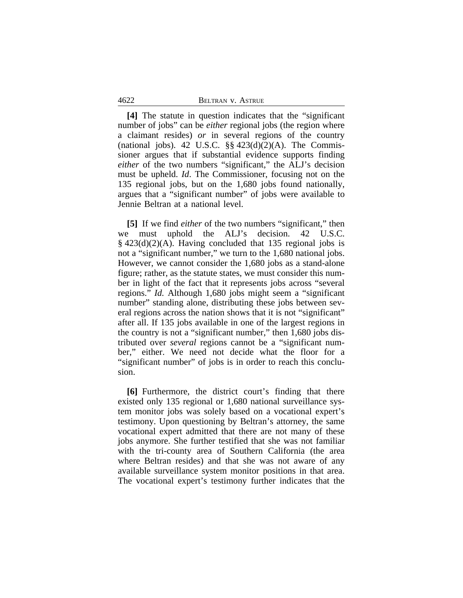4622 BELTRAN v. ASTRUE

**[4]** The statute in question indicates that the "significant number of jobs" can be *either* regional jobs (the region where a claimant resides) *or* in several regions of the country (national jobs). 42 U.S.C.  $\S\S 423(d)(2)(A)$ . The Commissioner argues that if substantial evidence supports finding *either* of the two numbers "significant," the ALJ's decision must be upheld. *Id*. The Commissioner, focusing not on the 135 regional jobs, but on the 1,680 jobs found nationally, argues that a "significant number" of jobs were available to Jennie Beltran at a national level.

**[5]** If we find *either* of the two numbers "significant," then we must uphold the ALJ's decision. 42 U.S.C. § 423(d)(2)(A). Having concluded that 135 regional jobs is not a "significant number," we turn to the 1,680 national jobs. However, we cannot consider the 1,680 jobs as a stand-alone figure; rather, as the statute states, we must consider this number in light of the fact that it represents jobs across "several regions." *Id.* Although 1,680 jobs might seem a "significant number" standing alone, distributing these jobs between several regions across the nation shows that it is not "significant" after all. If 135 jobs available in one of the largest regions in the country is not a "significant number," then 1,680 jobs distributed over *several* regions cannot be a "significant number," either. We need not decide what the floor for a "significant number" of jobs is in order to reach this conclusion.

**[6]** Furthermore, the district court's finding that there existed only 135 regional or 1,680 national surveillance system monitor jobs was solely based on a vocational expert's testimony. Upon questioning by Beltran's attorney, the same vocational expert admitted that there are not many of these jobs anymore. She further testified that she was not familiar with the tri-county area of Southern California (the area where Beltran resides) and that she was not aware of any available surveillance system monitor positions in that area. The vocational expert's testimony further indicates that the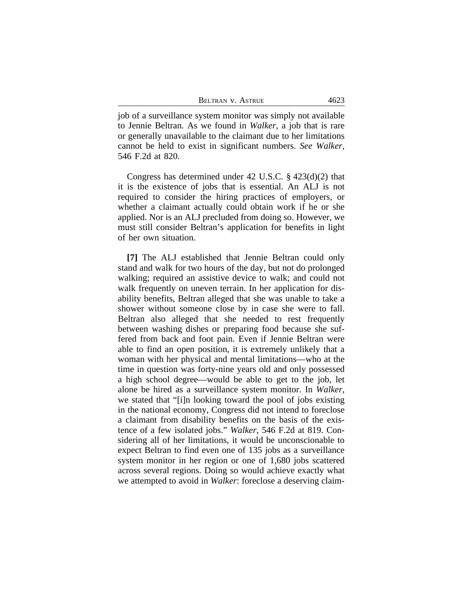job of a surveillance system monitor was simply not available to Jennie Beltran. As we found in *Walker*, a job that is rare or generally unavailable to the claimant due to her limitations cannot be held to exist in significant numbers. *See Walker*, 546 F.2d at 820.

Congress has determined under 42 U.S.C. § 423(d)(2) that it is the existence of jobs that is essential. An ALJ is not required to consider the hiring practices of employers, or whether a claimant actually could obtain work if he or she applied. Nor is an ALJ precluded from doing so. However, we must still consider Beltran's application for benefits in light of her own situation.

**[7]** The ALJ established that Jennie Beltran could only stand and walk for two hours of the day, but not do prolonged walking; required an assistive device to walk; and could not walk frequently on uneven terrain. In her application for disability benefits, Beltran alleged that she was unable to take a shower without someone close by in case she were to fall. Beltran also alleged that she needed to rest frequently between washing dishes or preparing food because she suffered from back and foot pain. Even if Jennie Beltran were able to find an open position, it is extremely unlikely that a woman with her physical and mental limitations—who at the time in question was forty-nine years old and only possessed a high school degree—would be able to get to the job, let alone be hired as a surveillance system monitor. In *Walker*, we stated that "[i]n looking toward the pool of jobs existing in the national economy, Congress did not intend to foreclose a claimant from disability benefits on the basis of the existence of a few isolated jobs." *Walker*, 546 F.2d at 819. Considering all of her limitations, it would be unconscionable to expect Beltran to find even one of 135 jobs as a surveillance system monitor in her region or one of 1,680 jobs scattered across several regions. Doing so would achieve exactly what we attempted to avoid in *Walker*: foreclose a deserving claim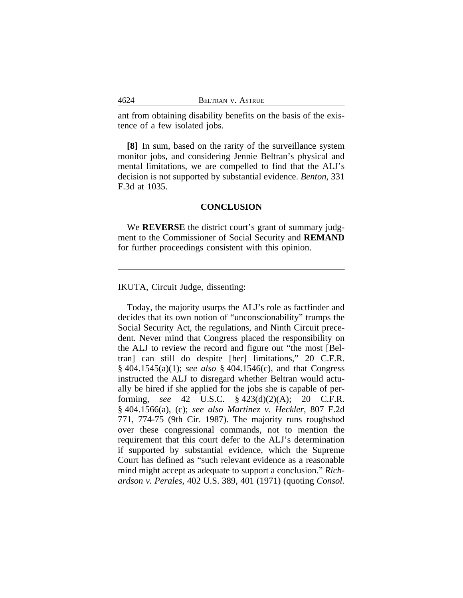ant from obtaining disability benefits on the basis of the existence of a few isolated jobs.

**[8]** In sum, based on the rarity of the surveillance system monitor jobs, and considering Jennie Beltran's physical and mental limitations, we are compelled to find that the ALJ's decision is not supported by substantial evidence. *Benton*, 331 F.3d at 1035.

## **CONCLUSION**

We **REVERSE** the district court's grant of summary judgment to the Commissioner of Social Security and **REMAND** for further proceedings consistent with this opinion.

IKUTA, Circuit Judge, dissenting:

Today, the majority usurps the ALJ's role as factfinder and decides that its own notion of "unconscionability" trumps the Social Security Act, the regulations, and Ninth Circuit precedent. Never mind that Congress placed the responsibility on the ALJ to review the record and figure out "the most [Beltran] can still do despite [her] limitations," 20 C.F.R. § 404.1545(a)(1); *see also* § 404.1546(c), and that Congress instructed the ALJ to disregard whether Beltran would actually be hired if she applied for the jobs she is capable of performing, *see* 42 U.S.C. § 423(d)(2)(A); 20 C.F.R. § 404.1566(a), (c); *see also Martinez v. Heckler*, 807 F.2d 771, 774-75 (9th Cir. 1987). The majority runs roughshod over these congressional commands, not to mention the requirement that this court defer to the ALJ's determination if supported by substantial evidence, which the Supreme Court has defined as "such relevant evidence as a reasonable mind might accept as adequate to support a conclusion." *Richardson v. Perales*, 402 U.S. 389, 401 (1971) (quoting *Consol.*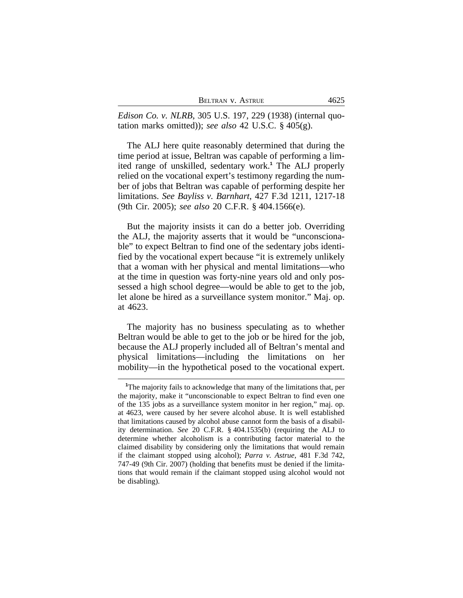| BELTRAN V. ASTRUE | 4625 |
|-------------------|------|
|                   |      |

*Edison Co. v. NLRB*, 305 U.S. 197, 229 (1938) (internal quotation marks omitted)); *see also* 42 U.S.C. § 405(g).

The ALJ here quite reasonably determined that during the time period at issue, Beltran was capable of performing a limited range of unskilled, sedentary work.**<sup>1</sup>** The ALJ properly relied on the vocational expert's testimony regarding the number of jobs that Beltran was capable of performing despite her limitations. *See Bayliss v. Barnhart*, 427 F.3d 1211, 1217-18 (9th Cir. 2005); *see also* 20 C.F.R. § 404.1566(e).

But the majority insists it can do a better job. Overriding the ALJ, the majority asserts that it would be "unconscionable" to expect Beltran to find one of the sedentary jobs identified by the vocational expert because "it is extremely unlikely that a woman with her physical and mental limitations—who at the time in question was forty-nine years old and only possessed a high school degree—would be able to get to the job, let alone be hired as a surveillance system monitor." Maj. op. at 4623.

The majority has no business speculating as to whether Beltran would be able to get to the job or be hired for the job, because the ALJ properly included all of Beltran's mental and physical limitations—including the limitations on her mobility—in the hypothetical posed to the vocational expert.

**<sup>1</sup>**The majority fails to acknowledge that many of the limitations that, per the majority, make it "unconscionable to expect Beltran to find even one of the 135 jobs as a surveillance system monitor in her region," maj. op. at 4623, were caused by her severe alcohol abuse. It is well established that limitations caused by alcohol abuse cannot form the basis of a disability determination. *See* 20 C.F.R. § 404.1535(b) (requiring the ALJ to determine whether alcoholism is a contributing factor material to the claimed disability by considering only the limitations that would remain if the claimant stopped using alcohol); *Parra v. Astrue*, 481 F.3d 742, 747-49 (9th Cir. 2007) (holding that benefits must be denied if the limitations that would remain if the claimant stopped using alcohol would not be disabling).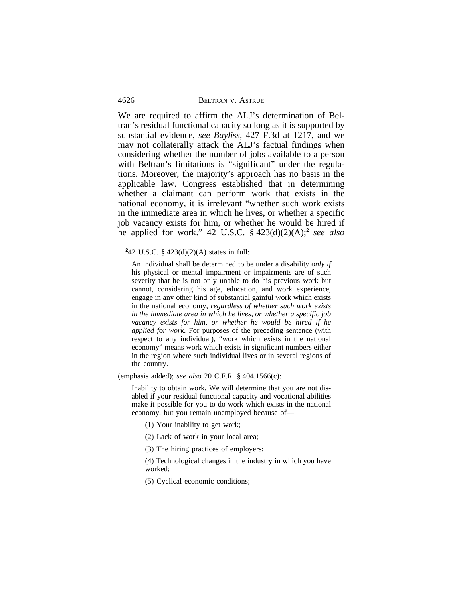| 4626 | BELTRAN V. ASTRUE |
|------|-------------------|
|      |                   |

We are required to affirm the ALJ's determination of Beltran's residual functional capacity so long as it is supported by substantial evidence, *see Bayliss*, 427 F.3d at 1217, and we may not collaterally attack the ALJ's factual findings when considering whether the number of jobs available to a person with Beltran's limitations is "significant" under the regulations. Moreover, the majority's approach has no basis in the applicable law. Congress established that in determining whether a claimant can perform work that exists in the national economy, it is irrelevant "whether such work exists in the immediate area in which he lives, or whether a specific job vacancy exists for him, or whether he would be hired if he applied for work." 42 U.S.C. § 423(d)(2)(A);**<sup>2</sup>** *see also*

**2** 42 U.S.C. § 423(d)(2)(A) states in full:

An individual shall be determined to be under a disability *only if* his physical or mental impairment or impairments are of such severity that he is not only unable to do his previous work but cannot, considering his age, education, and work experience, engage in any other kind of substantial gainful work which exists in the national economy, *regardless of whether such work exists in the immediate area in which he lives, or whether a specific job vacancy exists for him, or whether he would be hired if he applied for work*. For purposes of the preceding sentence (with respect to any individual), "work which exists in the national economy" means work which exists in significant numbers either in the region where such individual lives or in several regions of the country.

(emphasis added); *see also* 20 C.F.R. § 404.1566(c):

Inability to obtain work. We will determine that you are not disabled if your residual functional capacity and vocational abilities make it possible for you to do work which exists in the national economy, but you remain unemployed because of—

- (1) Your inability to get work;
- (2) Lack of work in your local area;
- (3) The hiring practices of employers;

(4) Technological changes in the industry in which you have worked;

(5) Cyclical economic conditions;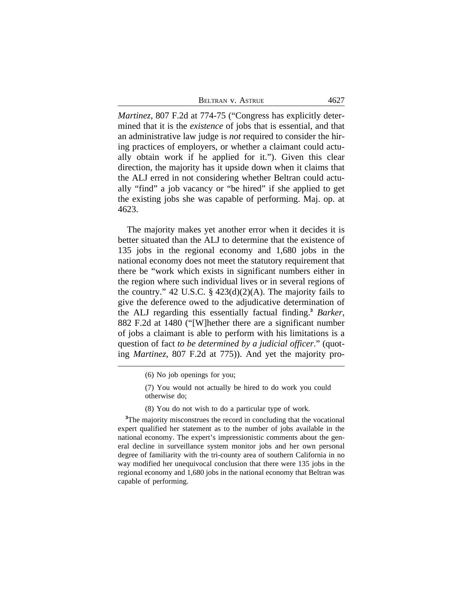| BELTRAN V. ASTRUE | 4627 |
|-------------------|------|
|                   |      |

*Martinez*, 807 F.2d at 774-75 ("Congress has explicitly determined that it is the *existence* of jobs that is essential, and that an administrative law judge is *not* required to consider the hiring practices of employers, or whether a claimant could actually obtain work if he applied for it."). Given this clear direction, the majority has it upside down when it claims that the ALJ erred in not considering whether Beltran could actually "find" a job vacancy or "be hired" if she applied to get the existing jobs she was capable of performing. Maj. op. at 4623.

The majority makes yet another error when it decides it is better situated than the ALJ to determine that the existence of 135 jobs in the regional economy and 1,680 jobs in the national economy does not meet the statutory requirement that there be "work which exists in significant numbers either in the region where such individual lives or in several regions of the country." 42 U.S.C.  $\S$  423(d)(2)(A). The majority fails to give the deference owed to the adjudicative determination of the ALJ regarding this essentially factual finding.**<sup>3</sup>** *Barker*, 882 F.2d at 1480 ("[W]hether there are a significant number of jobs a claimant is able to perform with his limitations is a question of fact *to be determined by a judicial officer*." (quoting *Martinez*, 807 F.2d at 775)). And yet the majority pro-

(8) You do not wish to do a particular type of work.

**<sup>3</sup>**The majority misconstrues the record in concluding that the vocational expert qualified her statement as to the number of jobs available in the national economy. The expert's impressionistic comments about the general decline in surveillance system monitor jobs and her own personal degree of familiarity with the tri-county area of southern California in no way modified her unequivocal conclusion that there were 135 jobs in the regional economy and 1,680 jobs in the national economy that Beltran was capable of performing.

<sup>(6)</sup> No job openings for you;

<sup>(7)</sup> You would not actually be hired to do work you could otherwise do;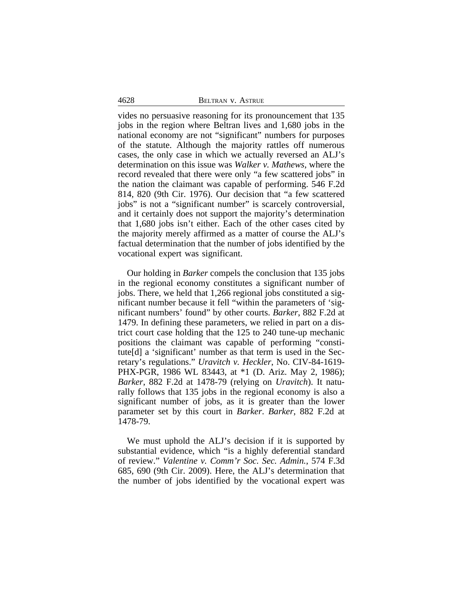vides no persuasive reasoning for its pronouncement that 135 jobs in the region where Beltran lives and 1,680 jobs in the national economy are not "significant" numbers for purposes of the statute. Although the majority rattles off numerous cases, the only case in which we actually reversed an ALJ's determination on this issue was *Walker v. Mathews*, where the record revealed that there were only "a few scattered jobs" in the nation the claimant was capable of performing. 546 F.2d 814, 820 (9th Cir. 1976). Our decision that "a few scattered jobs" is not a "significant number" is scarcely controversial, and it certainly does not support the majority's determination that 1,680 jobs isn't either. Each of the other cases cited by the majority merely affirmed as a matter of course the ALJ's factual determination that the number of jobs identified by the vocational expert was significant.

Our holding in *Barker* compels the conclusion that 135 jobs in the regional economy constitutes a significant number of jobs. There, we held that 1,266 regional jobs constituted a significant number because it fell "within the parameters of 'significant numbers' found" by other courts. *Barker*, 882 F.2d at 1479. In defining these parameters, we relied in part on a district court case holding that the 125 to 240 tune-up mechanic positions the claimant was capable of performing "constitute[d] a 'significant' number as that term is used in the Secretary's regulations." *Uravitch v. Heckler*, No. CIV-84-1619- PHX-PGR, 1986 WL 83443, at \*1 (D. Ariz. May 2, 1986); *Barker*, 882 F.2d at 1478-79 (relying on *Uravitch*). It naturally follows that 135 jobs in the regional economy is also a significant number of jobs, as it is greater than the lower parameter set by this court in *Barker*. *Barker*, 882 F.2d at 1478-79.

We must uphold the ALJ's decision if it is supported by substantial evidence, which "is a highly deferential standard of review." *Valentine v. Comm'r Soc. Sec. Admin.*, 574 F.3d 685, 690 (9th Cir. 2009). Here, the ALJ's determination that the number of jobs identified by the vocational expert was